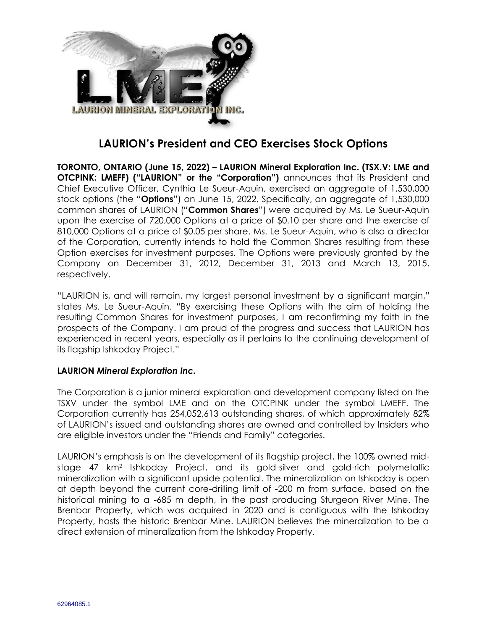

## **LAURION's President and CEO Exercises Stock Options**

**TORONTO, ONTARIO (June 15, 2022) – LAURION Mineral Exploration Inc. (TSX.V: LME and OTCPINK: LMEFF) ("LAURION" or the "Corporation")** announces that its President and Chief Executive Officer, Cynthia Le Sueur-Aquin, exercised an aggregate of 1,530,000 stock options (the "**Options**") on June 15, 2022. Specifically, an aggregate of 1,530,000 common shares of LAURION ("**Common Shares**") were acquired by Ms. Le Sueur-Aquin upon the exercise of 720,000 Options at a price of \$0.10 per share and the exercise of 810,000 Options at a price of \$0.05 per share. Ms. Le Sueur-Aquin, who is also a director of the Corporation, currently intends to hold the Common Shares resulting from these Option exercises for investment purposes. The Options were previously granted by the Company on December 31, 2012, December 31, 2013 and March 13, 2015, respectively.

"LAURION is, and will remain, my largest personal investment by a significant margin," states Ms. Le Sueur-Aquin. "By exercising these Options with the aim of holding the resulting Common Shares for investment purposes, I am reconfirming my faith in the prospects of the Company. I am proud of the progress and success that LAURION has experienced in recent years, especially as it pertains to the continuing development of its flagship Ishkoday Project."

## **LAURION** *Mineral Exploration Inc.*

The Corporation is a junior mineral exploration and development company listed on the TSXV under the symbol LME and on the OTCPINK under the symbol LMEFF. The Corporation currently has 254,052,613 outstanding shares, of which approximately 82% of LAURION's issued and outstanding shares are owned and controlled by Insiders who are eligible investors under the "Friends and Family" categories.

LAURION's emphasis is on the development of its flagship project, the 100% owned midstage 47 km<sup>2</sup> Ishkoday Project, and its gold-silver and gold-rich polymetallic mineralization with a significant upside potential. The mineralization on Ishkoday is open at depth beyond the current core-drilling limit of -200 m from surface, based on the historical mining to a -685 m depth, in the past producing Sturgeon River Mine. The Brenbar Property, which was acquired in 2020 and is contiguous with the Ishkoday Property, hosts the historic Brenbar Mine. LAURION believes the mineralization to be a direct extension of mineralization from the Ishkoday Property.